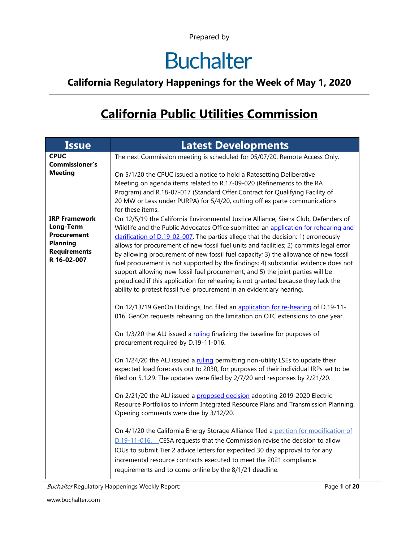# **Buchalter**

#### **California Regulatory Happenings for the Week of May 1, 2020**

### **California Public Utilities Commission**

| <b>CPUC</b><br>The next Commission meeting is scheduled for 05/07/20. Remote Access Only.                                                                                                 |  |
|-------------------------------------------------------------------------------------------------------------------------------------------------------------------------------------------|--|
|                                                                                                                                                                                           |  |
| <b>Commissioner's</b><br><b>Meeting</b>                                                                                                                                                   |  |
| On 5/1/20 the CPUC issued a notice to hold a Ratesetting Deliberative<br>Meeting on agenda items related to R.17-09-020 (Refinements to the RA                                            |  |
| Program) and R.18-07-017 (Standard Offer Contract for Qualifying Facility of                                                                                                              |  |
| 20 MW or Less under PURPA) for 5/4/20, cutting off ex parte communications                                                                                                                |  |
| for these items.                                                                                                                                                                          |  |
| <b>IRP Framework</b><br>On 12/5/19 the California Environmental Justice Alliance, Sierra Club, Defenders of                                                                               |  |
| Long-Term<br>Wildlife and the Public Advocates Office submitted an application for rehearing and                                                                                          |  |
| <b>Procurement</b><br>clarification of D.19-02-007. The parties allege that the decision: 1) erroneously<br><b>Planning</b>                                                               |  |
| allows for procurement of new fossil fuel units and facilities; 2) commits legal error<br><b>Requirements</b>                                                                             |  |
| by allowing procurement of new fossil fuel capacity; 3) the allowance of new fossil<br>R 16-02-007<br>fuel procurement is not supported by the findings; 4) substantial evidence does not |  |
| support allowing new fossil fuel procurement; and 5) the joint parties will be                                                                                                            |  |
| prejudiced if this application for rehearing is not granted because they lack the                                                                                                         |  |
| ability to protest fossil fuel procurement in an evidentiary hearing.                                                                                                                     |  |
|                                                                                                                                                                                           |  |
| On 12/13/19 GenOn Holdings, Inc. filed an application for re-hearing of D.19-11-                                                                                                          |  |
| 016. GenOn requests rehearing on the limitation on OTC extensions to one year.                                                                                                            |  |
| On 1/3/20 the ALJ issued a ruling finalizing the baseline for purposes of                                                                                                                 |  |
| procurement required by D.19-11-016.                                                                                                                                                      |  |
|                                                                                                                                                                                           |  |
| On 1/24/20 the ALJ issued a ruling permitting non-utility LSEs to update their                                                                                                            |  |
| expected load forecasts out to 2030, for purposes of their individual IRPs set to be<br>filed on 5.1.29. The updates were filed by 2/7/20 and responses by 2/21/20.                       |  |
|                                                                                                                                                                                           |  |
| On 2/21/20 the ALJ issued a proposed decision adopting 2019-2020 Electric                                                                                                                 |  |
| Resource Portfolios to inform Integrated Resource Plans and Transmission Planning.                                                                                                        |  |
| Opening comments were due by 3/12/20.                                                                                                                                                     |  |
| On 4/1/20 the California Energy Storage Alliance filed a petition for modification of                                                                                                     |  |
| D.19-11-016. CESA requests that the Commission revise the decision to allow                                                                                                               |  |
| IOUs to submit Tier 2 advice letters for expedited 30 day approval to for any                                                                                                             |  |
| incremental resource contracts executed to meet the 2021 compliance                                                                                                                       |  |
| requirements and to come online by the 8/1/21 deadline.                                                                                                                                   |  |

Buchalter Regulatory Happenings Weekly Report: Page 1 of 20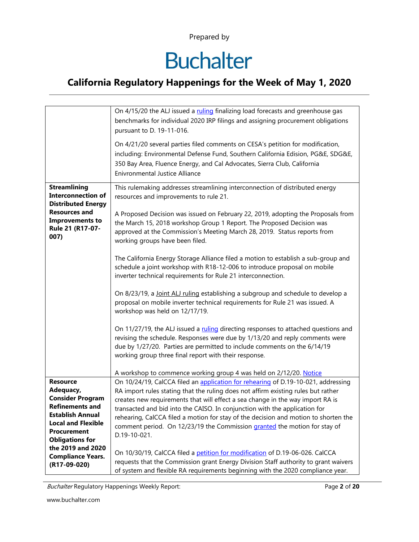# **Buchalter**

#### **California Regulatory Happenings for the Week of May 1, 2020**

|                                                                                                                                                             | On 4/15/20 the ALJ issued a ruling finalizing load forecasts and greenhouse gas<br>benchmarks for individual 2020 IRP filings and assigning procurement obligations<br>pursuant to D. 19-11-016.<br>On 4/21/20 several parties filed comments on CESA's petition for modification,<br>including: Environmental Defense Fund, Southern California Edision, PG&E, SDG&E,<br>350 Bay Area, Fluence Energy, and Cal Advocates, Sierra Club, California<br><b>Enivronmental Justice Alliance</b>                                                                                                                                                                                                                                                                                                                                                                                                                                                                                                                                                                                                                                                                                                                                  |
|-------------------------------------------------------------------------------------------------------------------------------------------------------------|------------------------------------------------------------------------------------------------------------------------------------------------------------------------------------------------------------------------------------------------------------------------------------------------------------------------------------------------------------------------------------------------------------------------------------------------------------------------------------------------------------------------------------------------------------------------------------------------------------------------------------------------------------------------------------------------------------------------------------------------------------------------------------------------------------------------------------------------------------------------------------------------------------------------------------------------------------------------------------------------------------------------------------------------------------------------------------------------------------------------------------------------------------------------------------------------------------------------------|
| <b>Streamlining</b><br><b>Interconnection of</b><br><b>Distributed Energy</b><br><b>Resources and</b><br><b>Improvements to</b><br>Rule 21 (R17-07-<br>007) | This rulemaking addresses streamlining interconnection of distributed energy<br>resources and improvements to rule 21.<br>A Proposed Decision was issued on February 22, 2019, adopting the Proposals from<br>the March 15, 2018 workshop Group 1 Report. The Proposed Decision was<br>approved at the Commission's Meeting March 28, 2019. Status reports from<br>working groups have been filed.<br>The California Energy Storage Alliance filed a motion to establish a sub-group and<br>schedule a joint workshop with R18-12-006 to introduce proposal on mobile<br>inverter technical requirements for Rule 21 interconnection.<br>On 8/23/19, a Joint ALJ ruling establishing a subgroup and schedule to develop a<br>proposal on mobile inverter technical requirements for Rule 21 was issued. A<br>workshop was held on 12/17/19.<br>On 11/27/19, the ALJ issued a ruling directing responses to attached questions and<br>revising the schedule. Responses were due by 1/13/20 and reply comments were<br>due by 1/27/20. Parties are permitted to include comments on the 6/14/19<br>working group three final report with their response.<br>A workshop to commence working group 4 was held on 2/12/20. Notice |
| <b>Resource</b>                                                                                                                                             | On 10/24/19, CalCCA filed an application for rehearing of D.19-10-021, addressing                                                                                                                                                                                                                                                                                                                                                                                                                                                                                                                                                                                                                                                                                                                                                                                                                                                                                                                                                                                                                                                                                                                                            |
| Adequacy,<br><b>Consider Program</b>                                                                                                                        | RA import rules stating that the ruling does not affirm existing rules but rather                                                                                                                                                                                                                                                                                                                                                                                                                                                                                                                                                                                                                                                                                                                                                                                                                                                                                                                                                                                                                                                                                                                                            |
| <b>Refinements and</b>                                                                                                                                      | creates new requirements that will effect a sea change in the way import RA is<br>transacted and bid into the CAISO. In conjunction with the application for                                                                                                                                                                                                                                                                                                                                                                                                                                                                                                                                                                                                                                                                                                                                                                                                                                                                                                                                                                                                                                                                 |
| <b>Establish Annual</b>                                                                                                                                     | rehearing, CalCCA filed a motion for stay of the decision and motion to shorten the                                                                                                                                                                                                                                                                                                                                                                                                                                                                                                                                                                                                                                                                                                                                                                                                                                                                                                                                                                                                                                                                                                                                          |
| <b>Local and Flexible</b>                                                                                                                                   | comment period. On 12/23/19 the Commission granted the motion for stay of                                                                                                                                                                                                                                                                                                                                                                                                                                                                                                                                                                                                                                                                                                                                                                                                                                                                                                                                                                                                                                                                                                                                                    |
| <b>Procurement</b><br><b>Obligations for</b>                                                                                                                | D.19-10-021.                                                                                                                                                                                                                                                                                                                                                                                                                                                                                                                                                                                                                                                                                                                                                                                                                                                                                                                                                                                                                                                                                                                                                                                                                 |
| the 2019 and 2020                                                                                                                                           |                                                                                                                                                                                                                                                                                                                                                                                                                                                                                                                                                                                                                                                                                                                                                                                                                                                                                                                                                                                                                                                                                                                                                                                                                              |
| <b>Compliance Years.</b>                                                                                                                                    | On 10/30/19, CalCCA filed a petition for modification of D.19-06-026. CalCCA                                                                                                                                                                                                                                                                                                                                                                                                                                                                                                                                                                                                                                                                                                                                                                                                                                                                                                                                                                                                                                                                                                                                                 |
| (R17-09-020)                                                                                                                                                | requests that the Commission grant Energy Division Staff authority to grant waivers                                                                                                                                                                                                                                                                                                                                                                                                                                                                                                                                                                                                                                                                                                                                                                                                                                                                                                                                                                                                                                                                                                                                          |
|                                                                                                                                                             | of system and flexible RA requirements beginning with the 2020 compliance year.                                                                                                                                                                                                                                                                                                                                                                                                                                                                                                                                                                                                                                                                                                                                                                                                                                                                                                                                                                                                                                                                                                                                              |

Buchalter Regulatory Happenings Weekly Report: Page **2** of **20**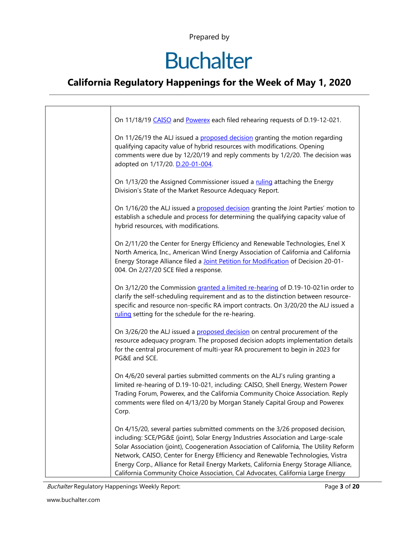# **Buchalter**

#### **California Regulatory Happenings for the Week of May 1, 2020**

| On 11/18/19 CAISO and Powerex each filed rehearing requests of D.19-12-021.                                                                                                                                                                                                                                                                                                                                                                                                                                                |
|----------------------------------------------------------------------------------------------------------------------------------------------------------------------------------------------------------------------------------------------------------------------------------------------------------------------------------------------------------------------------------------------------------------------------------------------------------------------------------------------------------------------------|
| On 11/26/19 the ALJ issued a proposed decision granting the motion regarding<br>qualifying capacity value of hybrid resources with modifications. Opening<br>comments were due by 12/20/19 and reply comments by 1/2/20. The decision was<br>adopted on 1/17/20. D.20-01-004.                                                                                                                                                                                                                                              |
| On 1/13/20 the Assigned Commissioner issued a ruling attaching the Energy<br>Division's State of the Market Resource Adequacy Report.                                                                                                                                                                                                                                                                                                                                                                                      |
| On 1/16/20 the ALJ issued a proposed decision granting the Joint Parties' motion to<br>establish a schedule and process for determining the qualifying capacity value of<br>hybrid resources, with modifications.                                                                                                                                                                                                                                                                                                          |
| On 2/11/20 the Center for Energy Efficiency and Renewable Technologies, Enel X<br>North America, Inc., American Wind Energy Association of California and California<br>Energy Storage Alliance filed a Joint Petition for Modification of Decision 20-01-<br>004. On 2/27/20 SCE filed a response.                                                                                                                                                                                                                        |
| On 3/12/20 the Commission granted a limited re-hearing of D.19-10-021in order to<br>clarify the self-scheduling requirement and as to the distinction between resource-<br>specific and resource non-specific RA import contracts. On 3/20/20 the ALJ issued a<br>ruling setting for the schedule for the re-hearing.                                                                                                                                                                                                      |
| On 3/26/20 the ALJ issued a proposed decision on central procurement of the<br>resource adequacy program. The proposed decision adopts implementation details<br>for the central procurement of multi-year RA procurement to begin in 2023 for<br>PG&E and SCE.                                                                                                                                                                                                                                                            |
| On 4/6/20 several parties submitted comments on the ALJ's ruling granting a<br>limited re-hearing of D.19-10-021, including: CAISO, Shell Energy, Western Power<br>Trading Forum, Powerex, and the California Community Choice Association. Reply<br>comments were filed on 4/13/20 by Morgan Stanely Capital Group and Powerex<br>Corp.                                                                                                                                                                                   |
| On 4/15/20, several parties submitted comments on the 3/26 proposed decision,<br>including: SCE/PG&E (joint), Solar Energy Industries Association and Large-scale<br>Solar Association (joint), Coogeneration Association of California, The Utility Reform<br>Network, CAISO, Center for Energy Efficiency and Renewable Technologies, Vistra<br>Energy Corp., Alliance for Retail Energy Markets, California Energy Storage Alliance,<br>California Community Choice Association, Cal Advocates, California Large Energy |

Buchalter Regulatory Happenings Weekly Report: Page **3** of **20**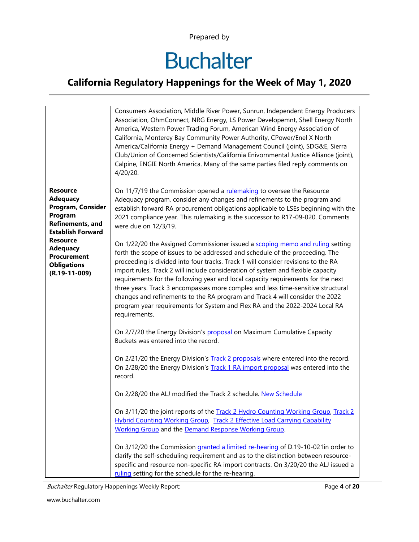# **Buchalter**

#### **California Regulatory Happenings for the Week of May 1, 2020**

|                                                                                                                                       | Consumers Association, Middle River Power, Sunrun, Independent Energy Producers<br>Association, OhmConnect, NRG Energy, LS Power Developemnt, Shell Energy North<br>America, Western Power Trading Forum, American Wind Energy Association of<br>California, Monterey Bay Community Power Authority, CPower/Enel X North<br>America/California Energy + Demand Management Council (joint), SDG&E, Sierra<br>Club/Union of Concerned Scientists/California Enivornmental Justice Alliance (joint),<br>Calpine, ENGIE North America. Many of the same parties filed reply comments on<br>4/20/20.                |
|---------------------------------------------------------------------------------------------------------------------------------------|----------------------------------------------------------------------------------------------------------------------------------------------------------------------------------------------------------------------------------------------------------------------------------------------------------------------------------------------------------------------------------------------------------------------------------------------------------------------------------------------------------------------------------------------------------------------------------------------------------------|
| <b>Resource</b><br><b>Adequacy</b><br>Program, Consider<br>Program<br>Refinements, and<br><b>Establish Forward</b><br><b>Resource</b> | On 11/7/19 the Commission opened a rulemaking to oversee the Resource<br>Adequacy program, consider any changes and refinements to the program and<br>establish forward RA procurement obligations applicable to LSEs beginning with the<br>2021 compliance year. This rulemaking is the successor to R17-09-020. Comments<br>were due on 12/3/19.<br>On 1/22/20 the Assigned Commissioner issued a scoping memo and ruling setting                                                                                                                                                                            |
| <b>Adequacy</b><br><b>Procurement</b><br><b>Obligations</b><br>$(R.19-11-009)$                                                        | forth the scope of issues to be addressed and schedule of the proceeding. The<br>proceeding is divided into four tracks. Track 1 will consider revisions to the RA<br>import rules. Track 2 will include consideration of system and flexible capacity<br>requirements for the following year and local capacity requirements for the next<br>three years. Track 3 encompasses more complex and less time-sensitive structural<br>changes and refinements to the RA program and Track 4 will consider the 2022<br>program year requirements for System and Flex RA and the 2022-2024 Local RA<br>requirements. |
|                                                                                                                                       | On 2/7/20 the Energy Division's proposal on Maximum Cumulative Capacity<br>Buckets was entered into the record.<br>On 2/21/20 the Energy Division's Track 2 proposals where entered into the record.                                                                                                                                                                                                                                                                                                                                                                                                           |
|                                                                                                                                       | On 2/28/20 the Energy Division's Track 1 RA import proposal was entered into the<br>record.<br>On 2/28/20 the ALJ modified the Track 2 schedule. New Schedule                                                                                                                                                                                                                                                                                                                                                                                                                                                  |
|                                                                                                                                       | On 3/11/20 the joint reports of the Track 2 Hydro Counting Working Group, Track 2<br><b>Hybrid Counting Working Group, Track 2 Effective Load Carrying Capability</b><br>Working Group and the Demand Response Working Group.                                                                                                                                                                                                                                                                                                                                                                                  |
|                                                                                                                                       | On 3/12/20 the Commission granted a limited re-hearing of D.19-10-021in order to<br>clarify the self-scheduling requirement and as to the distinction between resource-<br>specific and resource non-specific RA import contracts. On 3/20/20 the ALJ issued a<br>ruling setting for the schedule for the re-hearing.                                                                                                                                                                                                                                                                                          |

Buchalter Regulatory Happenings Weekly Report: Page **4** of **20**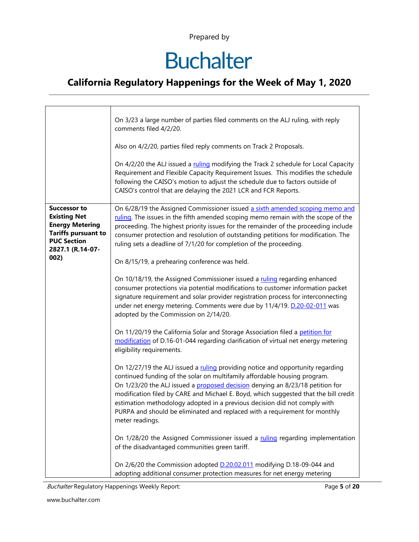# **Buchalter**

#### **California Regulatory Happenings for the Week of May 1, 2020**

|                                                                                                                                              | On 3/23 a large number of parties filed comments on the ALJ ruling, with reply<br>comments filed 4/2/20.                                                                                                                                                                                                                                                                                                                                                                                                           |
|----------------------------------------------------------------------------------------------------------------------------------------------|--------------------------------------------------------------------------------------------------------------------------------------------------------------------------------------------------------------------------------------------------------------------------------------------------------------------------------------------------------------------------------------------------------------------------------------------------------------------------------------------------------------------|
|                                                                                                                                              | Also on 4/2/20, parties filed reply comments on Track 2 Proposals.                                                                                                                                                                                                                                                                                                                                                                                                                                                 |
|                                                                                                                                              | On 4/2/20 the ALJ issued a ruling modifying the Track 2 schedule for Local Capacity<br>Requirement and Flexible Capacity Requirement Issues. This modifies the schedule<br>following the CAISO's motion to adjust the schedule due to factors outside of<br>CAISO's control that are delaying the 2021 LCR and FCR Reports.                                                                                                                                                                                        |
| <b>Successor to</b><br><b>Existing Net</b><br><b>Energy Metering</b><br><b>Tariffs pursuant to</b><br><b>PUC Section</b><br>2827.1 (R.14-07- | On 6/28/19 the Assigned Commissioner issued a sixth amended scoping memo and<br>ruling. The issues in the fifth amended scoping memo remain with the scope of the<br>proceeding. The highest priority issues for the remainder of the proceeding include<br>consumer protection and resolution of outstanding petitions for modification. The<br>ruling sets a deadline of 7/1/20 for completion of the proceeding.                                                                                                |
| 002)                                                                                                                                         | On 8/15/19, a prehearing conference was held.                                                                                                                                                                                                                                                                                                                                                                                                                                                                      |
|                                                                                                                                              | On 10/18/19, the Assigned Commissioner issued a ruling regarding enhanced<br>consumer protections via potential modifications to customer information packet<br>signature requirement and solar provider registration process for interconnecting<br>under net energy metering. Comments were due by 11/4/19. D.20-02-011 was<br>adopted by the Commission on 2/14/20.                                                                                                                                             |
|                                                                                                                                              | On 11/20/19 the California Solar and Storage Association filed a petition for<br>modification of D.16-01-044 regarding clarification of virtual net energy metering<br>eligibility requirements.                                                                                                                                                                                                                                                                                                                   |
|                                                                                                                                              | On 12/27/19 the ALJ issued a ruling providing notice and opportunity regarding<br>continued funding of the solar on multifamily affordable housing program.<br>On 1/23/20 the ALJ issued a proposed decision denying an 8/23/18 petition for<br>modification filed by CARE and Michael E. Boyd, which suggested that the bill credit<br>estimation methodology adopted in a previous decision did not comply with<br>PURPA and should be eliminated and replaced with a requirement for monthly<br>meter readings. |
|                                                                                                                                              | On 1/28/20 the Assigned Commissioner issued a ruling regarding implementation<br>of the disadvantaged communities green tariff.                                                                                                                                                                                                                                                                                                                                                                                    |
|                                                                                                                                              | On 2/6/20 the Commission adopted D.20.02.011 modifying D.18-09-044 and<br>adopting additional consumer protection measures for net energy metering                                                                                                                                                                                                                                                                                                                                                                 |

Buchalter Regulatory Happenings Weekly Report: Page **5** of **20**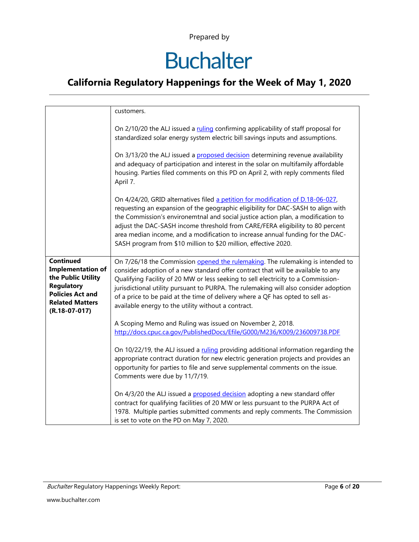# **Buchalter**

#### **California Regulatory Happenings for the Week of May 1, 2020**

|                                                                                                                                                                 | customers.                                                                                                                                                                                                                                                                                                                                                                                                                                                                                    |
|-----------------------------------------------------------------------------------------------------------------------------------------------------------------|-----------------------------------------------------------------------------------------------------------------------------------------------------------------------------------------------------------------------------------------------------------------------------------------------------------------------------------------------------------------------------------------------------------------------------------------------------------------------------------------------|
|                                                                                                                                                                 | On 2/10/20 the ALJ issued a ruling confirming applicability of staff proposal for<br>standardized solar energy system electric bill savings inputs and assumptions.<br>On 3/13/20 the ALJ issued a proposed decision determining revenue availability<br>and adequacy of participation and interest in the solar on multifamily affordable<br>housing. Parties filed comments on this PD on April 2, with reply comments filed<br>April 7.                                                    |
|                                                                                                                                                                 | On 4/24/20, GRID alternatives filed a petition for modification of D.18-06-027,<br>requesting an expansion of the geographic eligibility for DAC-SASH to align with<br>the Commission's environemtnal and social justice action plan, a modification to<br>adjust the DAC-SASH income threshold from CARE/FERA eligibility to 80 percent<br>area median income, and a modification to increase annual funding for the DAC-<br>SASH program from \$10 million to \$20 million, effective 2020. |
| <b>Continued</b><br><b>Implementation of</b><br>the Public Utility<br><b>Regulatory</b><br><b>Policies Act and</b><br><b>Related Matters</b><br>$(R.18-07-017)$ | On 7/26/18 the Commission opened the rulemaking. The rulemaking is intended to<br>consider adoption of a new standard offer contract that will be available to any<br>Qualifying Facility of 20 MW or less seeking to sell electricity to a Commission-<br>jurisdictional utility pursuant to PURPA. The rulemaking will also consider adoption<br>of a price to be paid at the time of delivery where a QF has opted to sell as-<br>available energy to the utility without a contract.      |
|                                                                                                                                                                 | A Scoping Memo and Ruling was issued on November 2, 2018.<br>http://docs.cpuc.ca.gov/PublishedDocs/Efile/G000/M236/K009/236009738.PDF<br>On 10/22/19, the ALJ issued a ruling providing additional information regarding the<br>appropriate contract duration for new electric generation projects and provides an<br>opportunity for parties to file and serve supplemental comments on the issue.<br>Comments were due by 11/7/19.                                                          |
|                                                                                                                                                                 | On 4/3/20 the ALJ issued a proposed decision adopting a new standard offer<br>contract for qualifying facilities of 20 MW or less pursuant to the PURPA Act of<br>1978. Multiple parties submitted comments and reply comments. The Commission<br>is set to vote on the PD on May 7, 2020.                                                                                                                                                                                                    |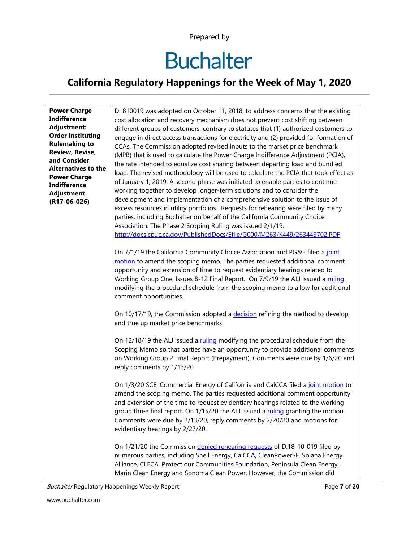# **Buchalter**

#### **California Regulatory Happenings for the Week of May 1, 2020**

| <b>Power Charge</b>        | D1810019 was adopted on October 11, 2018, to address concerns that the existing        |
|----------------------------|----------------------------------------------------------------------------------------|
| <b>Indifference</b>        | cost allocation and recovery mechanism does not prevent cost shifting between          |
| Adjustment:                | different groups of customers, contrary to statutes that (1) authorized customers to   |
| <b>Order Instituting</b>   | engage in direct access transactions for electricity and (2) provided for formation of |
| <b>Rulemaking to</b>       | CCAs. The Commission adopted revised inputs to the market price benchmark              |
| <b>Review, Revise,</b>     | (MPB) that is used to calculate the Power Charge Indifference Adjustment (PCIA),       |
| and Consider               | the rate intended to equalize cost sharing between departing load and bundled          |
| <b>Alternatives to the</b> | load. The revised methodology will be used to calculate the PCIA that took effect as   |
| <b>Power Charge</b>        | of January 1, 2019. A second phase was initiated to enable parties to continue         |
| <b>Indifference</b>        |                                                                                        |
| Adjustment                 | working together to develop longer-term solutions and to consider the                  |
| $(R17-06-026)$             | development and implementation of a comprehensive solution to the issue of             |
|                            | excess resources in utility portfolios. Requests for rehearing were filed by many      |
|                            | parties, including Buchalter on behalf of the California Community Choice              |
|                            | Association. The Phase 2 Scoping Ruling was issued 2/1/19.                             |
|                            | http://docs.cpuc.ca.gov/PublishedDocs/Efile/G000/M263/K449/263449702.PDF               |
|                            |                                                                                        |
|                            | On 7/1/19 the California Community Choice Association and PG&E filed a joint           |
|                            | motion to amend the scoping memo. The parties requested additional comment             |
|                            | opportunity and extension of time to request evidentiary hearings related to           |
|                            | Working Group One, Issues 8-12 Final Report. On 7/9/19 the ALJ issued a ruling         |
|                            | modifying the procedural schedule from the scoping memo to allow for additional        |
|                            | comment opportunities.                                                                 |
|                            |                                                                                        |
|                            | On 10/17/19, the Commission adopted a decision refining the method to develop          |
|                            | and true up market price benchmarks.                                                   |
|                            |                                                                                        |
|                            | On 12/18/19 the ALJ issued a ruling modifying the procedural schedule from the         |
|                            | Scoping Memo so that parties have an opportunity to provide additional comments        |
|                            | on Working Group 2 Final Report (Prepayment). Comments were due by 1/6/20 and          |
|                            | reply comments by 1/13/20.                                                             |
|                            |                                                                                        |
|                            | On 1/3/20 SCE, Commercial Energy of California and CalCCA filed a joint motion to      |
|                            | amend the scoping memo. The parties requested additional comment opportunity           |
|                            | and extension of the time to request evidentiary hearings related to the working       |
|                            | group three final report. On 1/15/20 the ALJ issued a ruling granting the motion.      |
|                            | Comments were due by 2/13/20, reply comments by 2/20/20 and motions for                |
|                            | evidentiary hearings by 2/27/20.                                                       |
|                            |                                                                                        |
|                            | On 1/21/20 the Commission denied rehearing requests of D.18-10-019 filed by            |
|                            | numerous parties, including Shell Energy, CalCCA, CleanPowerSF, Solana Energy          |
|                            | Alliance, CLECA, Protect our Communities Foundation, Peninsula Clean Energy,           |
|                            |                                                                                        |
|                            | Marin Clean Energy and Sonoma Clean Power. However, the Commission did                 |

Buchalter Regulatory Happenings Weekly Report: Page **7** of **20**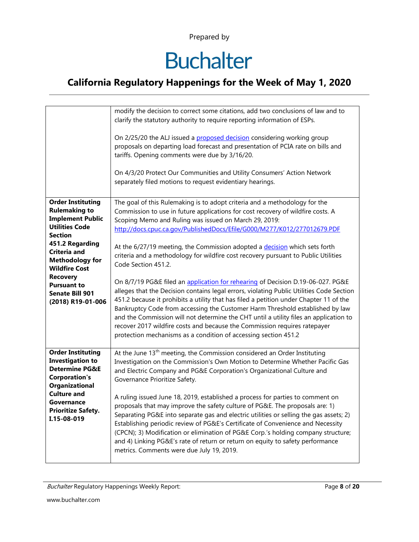# **Buchalter**

#### **California Regulatory Happenings for the Week of May 1, 2020**

|                                                                                                                                                                                                                                                                                                     | modify the decision to correct some citations, add two conclusions of law and to<br>clarify the statutory authority to require reporting information of ESPs.<br>On 2/25/20 the ALJ issued a proposed decision considering working group<br>proposals on departing load forecast and presentation of PCIA rate on bills and<br>tariffs. Opening comments were due by 3/16/20.<br>On 4/3/20 Protect Our Communities and Utility Consumers' Action Network<br>separately filed motions to request evidentiary hearings.                                                                                                                                                                                                                                                                                                                                                                                                                                                                                                                                                                            |
|-----------------------------------------------------------------------------------------------------------------------------------------------------------------------------------------------------------------------------------------------------------------------------------------------------|--------------------------------------------------------------------------------------------------------------------------------------------------------------------------------------------------------------------------------------------------------------------------------------------------------------------------------------------------------------------------------------------------------------------------------------------------------------------------------------------------------------------------------------------------------------------------------------------------------------------------------------------------------------------------------------------------------------------------------------------------------------------------------------------------------------------------------------------------------------------------------------------------------------------------------------------------------------------------------------------------------------------------------------------------------------------------------------------------|
| <b>Order Instituting</b><br><b>Rulemaking to</b><br><b>Implement Public</b><br><b>Utilities Code</b><br><b>Section</b><br>451.2 Regarding<br>Criteria and<br><b>Methodology for</b><br><b>Wildfire Cost</b><br><b>Recovery</b><br><b>Pursuant to</b><br><b>Senate Bill 901</b><br>(2018) R19-01-006 | The goal of this Rulemaking is to adopt criteria and a methodology for the<br>Commission to use in future applications for cost recovery of wildfire costs. A<br>Scoping Memo and Ruling was issued on March 29, 2019:<br>http://docs.cpuc.ca.gov/PublishedDocs/Efile/G000/M277/K012/277012679.PDF<br>At the 6/27/19 meeting, the Commission adopted a decision which sets forth<br>criteria and a methodology for wildfire cost recovery pursuant to Public Utilities<br>Code Section 451.2.<br>On 8/7/19 PG&E filed an application for rehearing of Decision D.19-06-027. PG&E<br>alleges that the Decision contains legal errors, violating Public Utilities Code Section<br>451.2 because it prohibits a utility that has filed a petition under Chapter 11 of the<br>Bankruptcy Code from accessing the Customer Harm Threshold established by law<br>and the Commission will not determine the CHT until a utility files an application to<br>recover 2017 wildfire costs and because the Commission requires ratepayer<br>protection mechanisms as a condition of accessing section 451.2 |
| <b>Order Instituting</b><br><b>Investigation to</b><br><b>Determine PG&amp;E</b><br><b>Corporation's</b><br><b>Organizational</b><br><b>Culture and</b><br>Governance<br><b>Prioritize Safety.</b><br>I.15-08-019                                                                                   | At the June 13 <sup>th</sup> meeting, the Commission considered an Order Instituting<br>Investigation on the Commission's Own Motion to Determine Whether Pacific Gas<br>and Electric Company and PG&E Corporation's Organizational Culture and<br>Governance Prioritize Safety.<br>A ruling issued June 18, 2019, established a process for parties to comment on<br>proposals that may improve the safety culture of PG&E. The proposals are: 1)<br>Separating PG&E into separate gas and electric utilities or selling the gas assets; 2)<br>Establishing periodic review of PG&E's Certificate of Convenience and Necessity<br>(CPCN); 3) Modification or elimination of PG&E Corp.'s holding company structure;<br>and 4) Linking PG&E's rate of return or return on equity to safety performance<br>metrics. Comments were due July 19, 2019.                                                                                                                                                                                                                                              |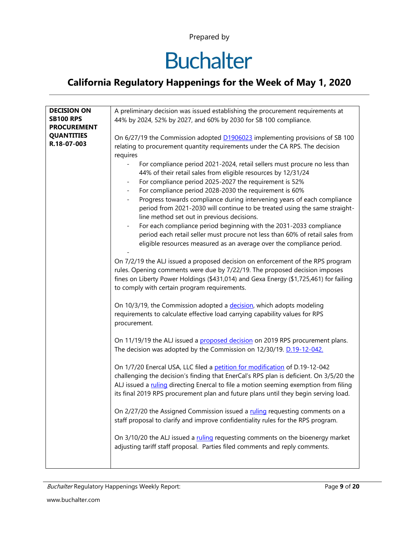# **Buchalter**

#### **California Regulatory Happenings for the Week of May 1, 2020**

| <b>DECISION ON</b> | A preliminary decision was issued establishing the procurement requirements at            |
|--------------------|-------------------------------------------------------------------------------------------|
| <b>SB100 RPS</b>   | 44% by 2024, 52% by 2027, and 60% by 2030 for SB 100 compliance.                          |
| <b>PROCUREMENT</b> |                                                                                           |
| <b>QUANTITIES</b>  | On 6/27/19 the Commission adopted D1906023 implementing provisions of SB 100              |
| R.18-07-003        |                                                                                           |
|                    | relating to procurement quantity requirements under the CA RPS. The decision              |
|                    | requires                                                                                  |
|                    | For compliance period 2021-2024, retail sellers must procure no less than                 |
|                    | 44% of their retail sales from eligible resources by 12/31/24                             |
|                    |                                                                                           |
|                    | For compliance period 2025-2027 the requirement is 52%<br>-                               |
|                    | For compliance period 2028-2030 the requirement is 60%<br>$\blacksquare$                  |
|                    | Progress towards compliance during intervening years of each compliance<br>$\blacksquare$ |
|                    | period from 2021-2030 will continue to be treated using the same straight-                |
|                    |                                                                                           |
|                    | line method set out in previous decisions.                                                |
|                    | For each compliance period beginning with the 2031-2033 compliance                        |
|                    | period each retail seller must procure not less than 60% of retail sales from             |
|                    | eligible resources measured as an average over the compliance period.                     |
|                    |                                                                                           |
|                    |                                                                                           |
|                    | On 7/2/19 the ALJ issued a proposed decision on enforcement of the RPS program            |
|                    | rules. Opening comments were due by 7/22/19. The proposed decision imposes                |
|                    | fines on Liberty Power Holdings (\$431,014) and Gexa Energy (\$1,725,461) for failing     |
|                    | to comply with certain program requirements.                                              |
|                    |                                                                                           |
|                    |                                                                                           |
|                    | On 10/3/19, the Commission adopted a decision, which adopts modeling                      |
|                    | requirements to calculate effective load carrying capability values for RPS               |
|                    | procurement.                                                                              |
|                    |                                                                                           |
|                    | On 11/19/19 the ALJ issued a proposed decision on 2019 RPS procurement plans.             |
|                    |                                                                                           |
|                    | The decision was adopted by the Commission on 12/30/19. D.19-12-042.                      |
|                    |                                                                                           |
|                    | On 1/7/20 Enercal USA, LLC filed a petition for modification of D.19-12-042               |
|                    | challenging the decision's finding that EnerCal's RPS plan is deficient. On 3/5/20 the    |
|                    | ALJ issued a ruling directing Enercal to file a motion seeming exemption from filing      |
|                    |                                                                                           |
|                    | its final 2019 RPS procurement plan and future plans until they begin serving load.       |
|                    |                                                                                           |
|                    | On 2/27/20 the Assigned Commission issued a ruling requesting comments on a               |
|                    | staff proposal to clarify and improve confidentiality rules for the RPS program.          |
|                    |                                                                                           |
|                    |                                                                                           |
|                    | On 3/10/20 the ALJ issued a ruling requesting comments on the bioenergy market            |
|                    | adjusting tariff staff proposal. Parties filed comments and reply comments.               |
|                    |                                                                                           |
|                    |                                                                                           |

Buchalter Regulatory Happenings Weekly Report: Page **9** of **20**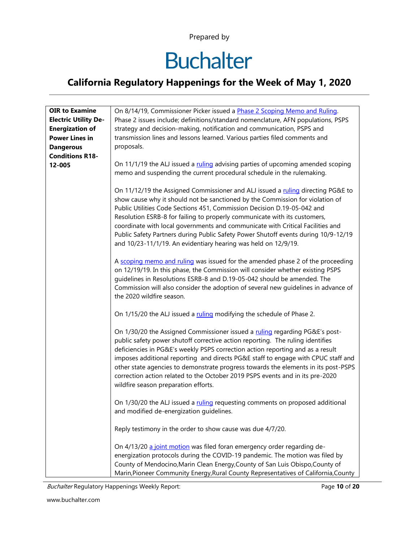# **Buchalter**

#### **California Regulatory Happenings for the Week of May 1, 2020**

| <b>OIR to Examine</b>       | On 8/14/19, Commissioner Picker issued a Phase 2 Scoping Memo and Ruling.                                                                                                                                                                                                                                                                                                                                                                                                                                                                                          |
|-----------------------------|--------------------------------------------------------------------------------------------------------------------------------------------------------------------------------------------------------------------------------------------------------------------------------------------------------------------------------------------------------------------------------------------------------------------------------------------------------------------------------------------------------------------------------------------------------------------|
| <b>Electric Utility De-</b> | Phase 2 issues include; definitions/standard nomenclature, AFN populations, PSPS                                                                                                                                                                                                                                                                                                                                                                                                                                                                                   |
| <b>Energization of</b>      | strategy and decision-making, notification and communication, PSPS and                                                                                                                                                                                                                                                                                                                                                                                                                                                                                             |
| <b>Power Lines in</b>       | transmission lines and lessons learned. Various parties filed comments and                                                                                                                                                                                                                                                                                                                                                                                                                                                                                         |
| <b>Dangerous</b>            | proposals.                                                                                                                                                                                                                                                                                                                                                                                                                                                                                                                                                         |
| <b>Conditions R18-</b>      |                                                                                                                                                                                                                                                                                                                                                                                                                                                                                                                                                                    |
| 12-005                      | On 11/1/19 the ALJ issued a ruling advising parties of upcoming amended scoping<br>memo and suspending the current procedural schedule in the rulemaking.                                                                                                                                                                                                                                                                                                                                                                                                          |
|                             | On 11/12/19 the Assigned Commissioner and ALJ issued a ruling directing PG&E to<br>show cause why it should not be sanctioned by the Commission for violation of<br>Public Utilities Code Sections 451, Commission Decision D.19-05-042 and<br>Resolution ESRB-8 for failing to properly communicate with its customers,<br>coordinate with local governments and communicate with Critical Facilities and<br>Public Safety Partners during Public Safety Power Shutoff events during 10/9-12/19<br>and 10/23-11/1/19. An evidentiary hearing was held on 12/9/19. |
|                             | A scoping memo and ruling was issued for the amended phase 2 of the proceeding<br>on 12/19/19. In this phase, the Commission will consider whether existing PSPS<br>guidelines in Resolutions ESRB-8 and D.19-05-042 should be amended. The<br>Commission will also consider the adoption of several new guidelines in advance of<br>the 2020 wildfire season.                                                                                                                                                                                                     |
|                             | On 1/15/20 the ALJ issued a ruling modifying the schedule of Phase 2.                                                                                                                                                                                                                                                                                                                                                                                                                                                                                              |
|                             | On 1/30/20 the Assigned Commissioner issued a ruling regarding PG&E's post-<br>public safety power shutoff corrective action reporting. The ruling identifies<br>deficiencies in PG&E's weekly PSPS correction action reporting and as a result<br>imposes additional reporting and directs PG&E staff to engage with CPUC staff and<br>other state agencies to demonstrate progress towards the elements in its post-PSPS<br>correction action related to the October 2019 PSPS events and in its pre-2020<br>wildfire season preparation efforts.                |
|                             | On 1/30/20 the ALJ issued a ruling requesting comments on proposed additional<br>and modified de-energization guidelines.                                                                                                                                                                                                                                                                                                                                                                                                                                          |
|                             | Reply testimony in the order to show cause was due 4/7/20.                                                                                                                                                                                                                                                                                                                                                                                                                                                                                                         |
|                             | On 4/13/20 a joint motion was filed foran emergency order regarding de-<br>energization protocols during the COVID-19 pandemic. The motion was filed by<br>County of Mendocino, Marin Clean Energy, County of San Luis Obispo, County of<br>Marin, Pioneer Community Energy, Rural County Representatives of California, County                                                                                                                                                                                                                                    |

Buchalter Regulatory Happenings Weekly Report: Page **10** of **20**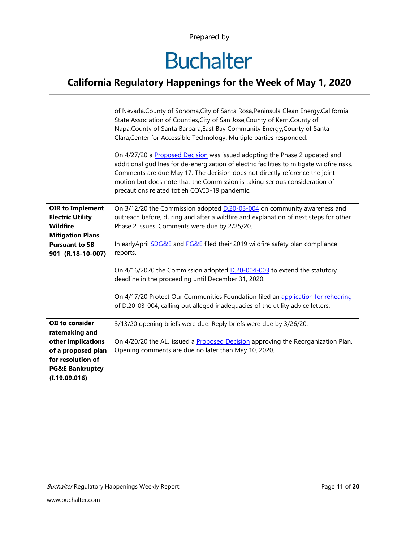# **Buchalter**

#### **California Regulatory Happenings for the Week of May 1, 2020**

|                                                                                                                                                   | of Nevada, County of Sonoma, City of Santa Rosa, Peninsula Clean Energy, California<br>State Association of Counties, City of San Jose, County of Kern, County of<br>Napa, County of Santa Barbara, East Bay Community Energy, County of Santa<br>Clara, Center for Accessible Technology. Multiple parties responded.<br>On 4/27/20 a Proposed Decision was issued adopting the Phase 2 updated and<br>additional gudilnes for de-energization of electric facilities to mitigate wildfire risks.<br>Comments are due May 17. The decision does not directly reference the joint<br>motion but does note that the Commission is taking serious consideration of<br>precautions related tot eh COVID-19 pandemic. |
|---------------------------------------------------------------------------------------------------------------------------------------------------|-------------------------------------------------------------------------------------------------------------------------------------------------------------------------------------------------------------------------------------------------------------------------------------------------------------------------------------------------------------------------------------------------------------------------------------------------------------------------------------------------------------------------------------------------------------------------------------------------------------------------------------------------------------------------------------------------------------------|
| <b>OIR to Implement</b><br><b>Electric Utility</b><br><b>Wildfire</b><br><b>Mitigation Plans</b><br><b>Pursuant to SB</b><br>901 (R.18-10-007)    | On 3/12/20 the Commission adopted D.20-03-004 on community awareness and<br>outreach before, during and after a wildfire and explanation of next steps for other<br>Phase 2 issues. Comments were due by 2/25/20.<br>In earlyApril <b>SDG&amp;E</b> and <b>PG&amp;E</b> filed their 2019 wildfire safety plan compliance<br>reports.<br>On 4/16/2020 the Commission adopted <b>D.20-004-003</b> to extend the statutory<br>deadline in the proceeding until December 31, 2020.<br>On 4/17/20 Protect Our Communities Foundation filed an application for rehearing<br>of D.20-03-004, calling out alleged inadequacies of the utility advice letters.                                                             |
| OII to consider<br>ratemaking and<br>other implications<br>of a proposed plan<br>for resolution of<br><b>PG&amp;E Bankruptcy</b><br>(I.19.09.016) | 3/13/20 opening briefs were due. Reply briefs were due by 3/26/20.<br>On 4/20/20 the ALJ issued a Proposed Decision approving the Reorganization Plan.<br>Opening comments are due no later than May 10, 2020.                                                                                                                                                                                                                                                                                                                                                                                                                                                                                                    |

Buchalter Regulatory Happenings Weekly Report: Page **11** of **20**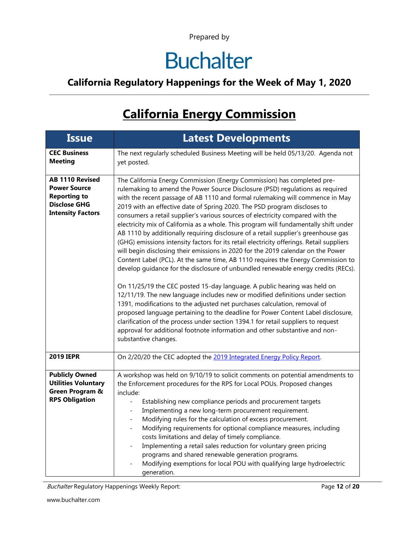# **Buchalter**

#### **California Regulatory Happenings for the Week of May 1, 2020**

## **California Energy Commission**

| <b>Issue</b>                                                                                                            | <b>Latest Developments</b>                                                                                                                                                                                                                                                                                                                                                                                                                                                                                                                                                                                                                                                                                                                                                                                                                                                                                                                                                                                                                                                                                                                                                                                                                                                                                                                                                                                                                                                |
|-------------------------------------------------------------------------------------------------------------------------|---------------------------------------------------------------------------------------------------------------------------------------------------------------------------------------------------------------------------------------------------------------------------------------------------------------------------------------------------------------------------------------------------------------------------------------------------------------------------------------------------------------------------------------------------------------------------------------------------------------------------------------------------------------------------------------------------------------------------------------------------------------------------------------------------------------------------------------------------------------------------------------------------------------------------------------------------------------------------------------------------------------------------------------------------------------------------------------------------------------------------------------------------------------------------------------------------------------------------------------------------------------------------------------------------------------------------------------------------------------------------------------------------------------------------------------------------------------------------|
| <b>CEC Business</b><br><b>Meeting</b>                                                                                   | The next regularly scheduled Business Meeting will be held 05/13/20. Agenda not<br>yet posted.                                                                                                                                                                                                                                                                                                                                                                                                                                                                                                                                                                                                                                                                                                                                                                                                                                                                                                                                                                                                                                                                                                                                                                                                                                                                                                                                                                            |
| <b>AB 1110 Revised</b><br><b>Power Source</b><br><b>Reporting to</b><br><b>Disclose GHG</b><br><b>Intensity Factors</b> | The California Energy Commission (Energy Commission) has completed pre-<br>rulemaking to amend the Power Source Disclosure (PSD) regulations as required<br>with the recent passage of AB 1110 and formal rulemaking will commence in May<br>2019 with an effective date of Spring 2020. The PSD program discloses to<br>consumers a retail supplier's various sources of electricity compared with the<br>electricity mix of California as a whole. This program will fundamentally shift under<br>AB 1110 by additionally requiring disclosure of a retail supplier's greenhouse gas<br>(GHG) emissions intensity factors for its retail electricity offerings. Retail suppliers<br>will begin disclosing their emissions in 2020 for the 2019 calendar on the Power<br>Content Label (PCL). At the same time, AB 1110 requires the Energy Commission to<br>develop guidance for the disclosure of unbundled renewable energy credits (RECs).<br>On 11/25/19 the CEC posted 15-day language. A public hearing was held on<br>12/11/19. The new language includes new or modified definitions under section<br>1391, modifications to the adjusted net purchases calculation, removal of<br>proposed language pertaining to the deadline for Power Content Label disclosure,<br>clarification of the process under section 1394.1 for retail suppliers to request<br>approval for additional footnote information and other substantive and non-<br>substantive changes. |
| <b>2019 IEPR</b>                                                                                                        | On 2/20/20 the CEC adopted the 2019 Integrated Energy Policy Report.                                                                                                                                                                                                                                                                                                                                                                                                                                                                                                                                                                                                                                                                                                                                                                                                                                                                                                                                                                                                                                                                                                                                                                                                                                                                                                                                                                                                      |
| <b>Publicly Owned</b><br><b>Utilities Voluntary</b><br>Green Program &<br><b>RPS Obligation</b>                         | A workshop was held on 9/10/19 to solicit comments on potential amendments to<br>the Enforcement procedures for the RPS for Local POUs. Proposed changes<br>include:<br>Establishing new compliance periods and procurement targets<br>Implementing a new long-term procurement requirement.<br>Modifying rules for the calculation of excess procurement.<br>Modifying requirements for optional compliance measures, including<br>costs limitations and delay of timely compliance.<br>Implementing a retail sales reduction for voluntary green pricing<br>programs and shared renewable generation programs.<br>Modifying exemptions for local POU with qualifying large hydroelectric<br>generation.                                                                                                                                                                                                                                                                                                                                                                                                                                                                                                                                                                                                                                                                                                                                                                 |

Buchalter Regulatory Happenings Weekly Report: Page **12** of **20**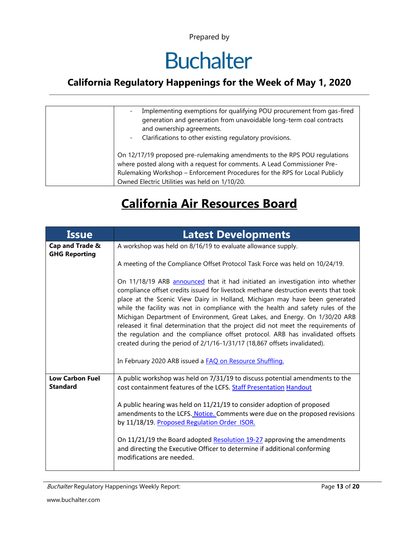# **Buchalter**

#### **California Regulatory Happenings for the Week of May 1, 2020**

| Implementing exemptions for qualifying POU procurement from gas-fired<br>generation and generation from unavoidable long-term coal contracts<br>and ownership agreements.<br>Clarifications to other existing regulatory provisions.<br>$\overline{\phantom{a}}$                      |
|---------------------------------------------------------------------------------------------------------------------------------------------------------------------------------------------------------------------------------------------------------------------------------------|
| On 12/17/19 proposed pre-rulemaking amendments to the RPS POU regulations<br>where posted along with a request for comments. A Lead Commissioner Pre-<br>Rulemaking Workshop - Enforcement Procedures for the RPS for Local Publicly<br>Owned Electric Utilities was held on 1/10/20. |

## **California Air Resources Board**

| <b>Issue</b>                              | <b>Latest Developments</b>                                                                                                                                                                                                                                                                                                                                                                                                                                                                                                                                                                                                                                                 |  |  |  |  |  |
|-------------------------------------------|----------------------------------------------------------------------------------------------------------------------------------------------------------------------------------------------------------------------------------------------------------------------------------------------------------------------------------------------------------------------------------------------------------------------------------------------------------------------------------------------------------------------------------------------------------------------------------------------------------------------------------------------------------------------------|--|--|--|--|--|
| Cap and Trade &<br><b>GHG Reporting</b>   | A workshop was held on 8/16/19 to evaluate allowance supply.                                                                                                                                                                                                                                                                                                                                                                                                                                                                                                                                                                                                               |  |  |  |  |  |
|                                           | A meeting of the Compliance Offset Protocol Task Force was held on 10/24/19.                                                                                                                                                                                                                                                                                                                                                                                                                                                                                                                                                                                               |  |  |  |  |  |
|                                           | On 11/18/19 ARB announced that it had initiated an investigation into whether<br>compliance offset credits issued for livestock methane destruction events that took<br>place at the Scenic View Dairy in Holland, Michigan may have been generated<br>while the facility was not in compliance with the health and safety rules of the<br>Michigan Department of Environment, Great Lakes, and Energy. On 1/30/20 ARB<br>released it final determination that the project did not meet the requirements of<br>the regulation and the compliance offset protocol. ARB has invalidated offsets<br>created during the period of 2/1/16-1/31/17 (18,867 offsets invalidated). |  |  |  |  |  |
|                                           | In February 2020 ARB issued a FAQ on Resource Shuffling.                                                                                                                                                                                                                                                                                                                                                                                                                                                                                                                                                                                                                   |  |  |  |  |  |
| <b>Low Carbon Fuel</b><br><b>Standard</b> | A public workshop was held on 7/31/19 to discuss potential amendments to the<br>cost containment features of the LCFS. Staff Presentation Handout                                                                                                                                                                                                                                                                                                                                                                                                                                                                                                                          |  |  |  |  |  |
|                                           | A public hearing was held on 11/21/19 to consider adoption of proposed<br>amendments to the LCFS. Notice. Comments were due on the proposed revisions<br>by 11/18/19. Proposed Regulation Order ISOR.                                                                                                                                                                                                                                                                                                                                                                                                                                                                      |  |  |  |  |  |
|                                           | On 11/21/19 the Board adopted Resolution 19-27 approving the amendments<br>and directing the Executive Officer to determine if additional conforming<br>modifications are needed.                                                                                                                                                                                                                                                                                                                                                                                                                                                                                          |  |  |  |  |  |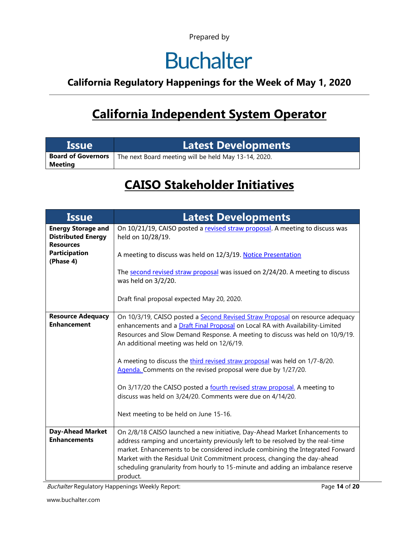# **Buchalter**

#### **California Regulatory Happenings for the Week of May 1, 2020**

## **California Independent System Operator**

| <b>Issue</b>                                | <b>Latest Developments</b>                           |
|---------------------------------------------|------------------------------------------------------|
| <b>Board of Governors</b><br><b>Meeting</b> | The next Board meeting will be held May 13-14, 2020. |

### **CAISO Stakeholder Initiatives**

| <b>Issue</b>                                                               | <b>Latest Developments</b>                                                                                                                                                                                                                                                                                                                                                                                                                                                                                                                                                                                                         |  |  |  |  |  |
|----------------------------------------------------------------------------|------------------------------------------------------------------------------------------------------------------------------------------------------------------------------------------------------------------------------------------------------------------------------------------------------------------------------------------------------------------------------------------------------------------------------------------------------------------------------------------------------------------------------------------------------------------------------------------------------------------------------------|--|--|--|--|--|
| <b>Energy Storage and</b><br><b>Distributed Energy</b><br><b>Resources</b> | On 10/21/19, CAISO posted a revised straw proposal. A meeting to discuss was<br>held on 10/28/19.                                                                                                                                                                                                                                                                                                                                                                                                                                                                                                                                  |  |  |  |  |  |
| <b>Participation</b><br>(Phase 4)                                          | A meeting to discuss was held on 12/3/19. Notice Presentation                                                                                                                                                                                                                                                                                                                                                                                                                                                                                                                                                                      |  |  |  |  |  |
|                                                                            | The second revised straw proposal was issued on 2/24/20. A meeting to discuss<br>was held on 3/2/20.                                                                                                                                                                                                                                                                                                                                                                                                                                                                                                                               |  |  |  |  |  |
|                                                                            | Draft final proposal expected May 20, 2020.                                                                                                                                                                                                                                                                                                                                                                                                                                                                                                                                                                                        |  |  |  |  |  |
| <b>Resource Adequacy</b><br><b>Enhancement</b>                             | On 10/3/19, CAISO posted a Second Revised Straw Proposal on resource adequacy<br>enhancements and a Draft Final Proposal on Local RA with Availability-Limited<br>Resources and Slow Demand Response. A meeting to discuss was held on 10/9/19.<br>An additional meeting was held on 12/6/19.<br>A meeting to discuss the third revised straw proposal was held on 1/7-8/20.<br>Agenda. Comments on the revised proposal were due by 1/27/20.<br>On 3/17/20 the CAISO posted a fourth revised straw proposal. A meeting to<br>discuss was held on 3/24/20. Comments were due on 4/14/20.<br>Next meeting to be held on June 15-16. |  |  |  |  |  |
| <b>Day-Ahead Market</b><br><b>Enhancements</b>                             | On 2/8/18 CAISO launched a new initiative, Day-Ahead Market Enhancements to<br>address ramping and uncertainty previously left to be resolved by the real-time<br>market. Enhancements to be considered include combining the Integrated Forward<br>Market with the Residual Unit Commitment process, changing the day-ahead<br>scheduling granularity from hourly to 15-minute and adding an imbalance reserve<br>product.                                                                                                                                                                                                        |  |  |  |  |  |

Buchalter Regulatory Happenings Weekly Report: Page **14** of **20**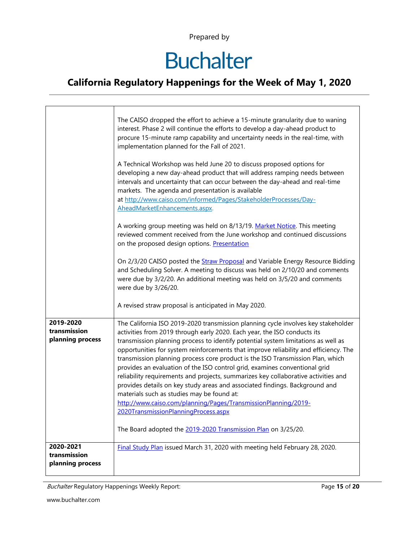# **Buchalter**

#### **California Regulatory Happenings for the Week of May 1, 2020**

|                                               | The CAISO dropped the effort to achieve a 15-minute granularity due to waning<br>interest. Phase 2 will continue the efforts to develop a day-ahead product to<br>procure 15-minute ramp capability and uncertainty needs in the real-time, with<br>implementation planned for the Fall of 2021.<br>A Technical Workshop was held June 20 to discuss proposed options for                                                                                                                                                                                                                                                                                                                                                                                                                                                                                                                                |  |  |  |  |  |
|-----------------------------------------------|----------------------------------------------------------------------------------------------------------------------------------------------------------------------------------------------------------------------------------------------------------------------------------------------------------------------------------------------------------------------------------------------------------------------------------------------------------------------------------------------------------------------------------------------------------------------------------------------------------------------------------------------------------------------------------------------------------------------------------------------------------------------------------------------------------------------------------------------------------------------------------------------------------|--|--|--|--|--|
|                                               | developing a new day-ahead product that will address ramping needs between<br>intervals and uncertainty that can occur between the day-ahead and real-time<br>markets. The agenda and presentation is available<br>at http://www.caiso.com/informed/Pages/StakeholderProcesses/Day-<br>AheadMarketEnhancements.aspx.                                                                                                                                                                                                                                                                                                                                                                                                                                                                                                                                                                                     |  |  |  |  |  |
|                                               | A working group meeting was held on 8/13/19. Market Notice. This meeting<br>reviewed comment received from the June workshop and continued discussions<br>on the proposed design options. Presentation                                                                                                                                                                                                                                                                                                                                                                                                                                                                                                                                                                                                                                                                                                   |  |  |  |  |  |
|                                               | On 2/3/20 CAISO posted the Straw Proposal and Variable Energy Resource Bidding<br>and Scheduling Solver. A meeting to discuss was held on 2/10/20 and comments<br>were due by 3/2/20. An additional meeting was held on 3/5/20 and comments<br>were due by 3/26/20.                                                                                                                                                                                                                                                                                                                                                                                                                                                                                                                                                                                                                                      |  |  |  |  |  |
|                                               | A revised straw proposal is anticipated in May 2020.                                                                                                                                                                                                                                                                                                                                                                                                                                                                                                                                                                                                                                                                                                                                                                                                                                                     |  |  |  |  |  |
| 2019-2020<br>transmission<br>planning process | The California ISO 2019-2020 transmission planning cycle involves key stakeholder<br>activities from 2019 through early 2020. Each year, the ISO conducts its<br>transmission planning process to identify potential system limitations as well as<br>opportunities for system reinforcements that improve reliability and efficiency. The<br>transmission planning process core product is the ISO Transmission Plan, which<br>provides an evaluation of the ISO control grid, examines conventional grid<br>reliability requirements and projects, summarizes key collaborative activities and<br>provides details on key study areas and associated findings. Background and<br>materials such as studies may be found at:<br>http://www.caiso.com/planning/Pages/TransmissionPlanning/2019-<br>2020TransmissionPlanningProcess.aspx<br>The Board adopted the 2019-2020 Transmission Plan on 3/25/20. |  |  |  |  |  |
| 2020-2021<br>transmission<br>planning process | Final Study Plan issued March 31, 2020 with meeting held February 28, 2020.                                                                                                                                                                                                                                                                                                                                                                                                                                                                                                                                                                                                                                                                                                                                                                                                                              |  |  |  |  |  |

Buchalter Regulatory Happenings Weekly Report: Page **15** of **20**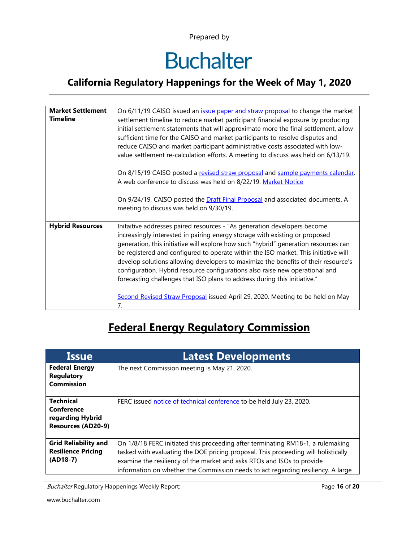# **Buchalter**

#### **California Regulatory Happenings for the Week of May 1, 2020**

| <b>Market Settlement</b><br><b>Timeline</b> | On 6/11/19 CAISO issued an <i>issue paper and straw proposal</i> to change the market<br>settlement timeline to reduce market participant financial exposure by producing<br>initial settlement statements that will approximate more the final settlement, allow<br>sufficient time for the CAISO and market participants to resolve disputes and<br>reduce CAISO and market participant administrative costs associated with low-<br>value settlement re-calculation efforts. A meeting to discuss was held on 6/13/19.                                                                |  |  |  |  |  |
|---------------------------------------------|------------------------------------------------------------------------------------------------------------------------------------------------------------------------------------------------------------------------------------------------------------------------------------------------------------------------------------------------------------------------------------------------------------------------------------------------------------------------------------------------------------------------------------------------------------------------------------------|--|--|--|--|--|
|                                             | On 8/15/19 CAISO posted a revised straw proposal and sample payments calendar.<br>A web conference to discuss was held on 8/22/19. Market Notice                                                                                                                                                                                                                                                                                                                                                                                                                                         |  |  |  |  |  |
|                                             | On 9/24/19, CAISO posted the <b>Draft Final Proposal</b> and associated documents. A<br>meeting to discuss was held on 9/30/19.                                                                                                                                                                                                                                                                                                                                                                                                                                                          |  |  |  |  |  |
| <b>Hybrid Resources</b>                     | Initaitive addresses paired resources - "As generation developers become<br>increasingly interested in pairing energy storage with existing or proposed<br>generation, this initiative will explore how such "hybrid" generation resources can<br>be registered and configured to operate within the ISO market. This initiative will<br>develop solutions allowing developers to maximize the benefits of their resource's<br>configuration. Hybrid resource configurations also raise new operational and<br>forecasting challenges that ISO plans to address during this initiative." |  |  |  |  |  |
|                                             | Second Revised Straw Proposal issued April 29, 2020. Meeting to be held on May<br>7.                                                                                                                                                                                                                                                                                                                                                                                                                                                                                                     |  |  |  |  |  |

## **Federal Energy Regulatory Commission**

| <b>Issue</b>                                                                    | <b>Latest Developments</b>                                                                                                                                                                                                                                                                                                          |  |  |  |  |
|---------------------------------------------------------------------------------|-------------------------------------------------------------------------------------------------------------------------------------------------------------------------------------------------------------------------------------------------------------------------------------------------------------------------------------|--|--|--|--|
| <b>Federal Energy</b><br>Regulatory<br><b>Commission</b>                        | The next Commission meeting is May 21, 2020.                                                                                                                                                                                                                                                                                        |  |  |  |  |
| <b>Technical</b><br>Conference<br>regarding Hybrid<br><b>Resources (AD20-9)</b> | FERC issued notice of technical conference to be held July 23, 2020.                                                                                                                                                                                                                                                                |  |  |  |  |
| <b>Grid Reliability and</b><br><b>Resilience Pricing</b><br>$(AD18-7)$          | On 1/8/18 FERC initiated this proceeding after terminating RM18-1, a rulemaking<br>tasked with evaluating the DOE pricing proposal. This proceeding will holistically<br>examine the resiliency of the market and asks RTOs and ISOs to provide<br>information on whether the Commission needs to act regarding resiliency. A large |  |  |  |  |

Buchalter Regulatory Happenings Weekly Report: Page **16** of **20**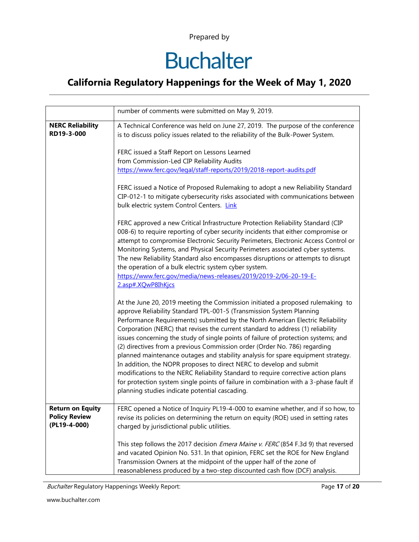# **Buchalter**

#### **California Regulatory Happenings for the Week of May 1, 2020**

|                                                                 | number of comments were submitted on May 9, 2019.                                                                                                                                                                                                                                                                                                                                                                                                                                                                                                                                                                                                                                                                                                                                                                                                                                         |  |  |  |  |  |
|-----------------------------------------------------------------|-------------------------------------------------------------------------------------------------------------------------------------------------------------------------------------------------------------------------------------------------------------------------------------------------------------------------------------------------------------------------------------------------------------------------------------------------------------------------------------------------------------------------------------------------------------------------------------------------------------------------------------------------------------------------------------------------------------------------------------------------------------------------------------------------------------------------------------------------------------------------------------------|--|--|--|--|--|
| <b>NERC Reliability</b><br>RD19-3-000                           | A Technical Conference was held on June 27, 2019. The purpose of the conference<br>is to discuss policy issues related to the reliability of the Bulk-Power System.                                                                                                                                                                                                                                                                                                                                                                                                                                                                                                                                                                                                                                                                                                                       |  |  |  |  |  |
|                                                                 | FERC issued a Staff Report on Lessons Learned<br>from Commission-Led CIP Reliability Audits<br>https://www.ferc.gov/legal/staff-reports/2019/2018-report-audits.pdf                                                                                                                                                                                                                                                                                                                                                                                                                                                                                                                                                                                                                                                                                                                       |  |  |  |  |  |
|                                                                 | FERC issued a Notice of Proposed Rulemaking to adopt a new Reliability Standard<br>CIP-012-1 to mitigate cybersecurity risks associated with communications between<br>bulk electric system Control Centers. Link                                                                                                                                                                                                                                                                                                                                                                                                                                                                                                                                                                                                                                                                         |  |  |  |  |  |
|                                                                 | FERC approved a new Critical Infrastructure Protection Reliability Standard (CIP<br>008-6) to require reporting of cyber security incidents that either compromise or<br>attempt to compromise Electronic Security Perimeters, Electronic Access Control or<br>Monitoring Systems, and Physical Security Perimeters associated cyber systems.<br>The new Reliability Standard also encompasses disruptions or attempts to disrupt<br>the operation of a bulk electric system cyber system.<br>https://www.ferc.gov/media/news-releases/2019/2019-2/06-20-19-E-<br>2.asp#.XQwP8IhKjcs                                                                                                                                                                                                                                                                                                      |  |  |  |  |  |
|                                                                 | At the June 20, 2019 meeting the Commission initiated a proposed rulemaking to<br>approve Reliability Standard TPL-001-5 (Transmission System Planning<br>Performance Requirements) submitted by the North American Electric Reliability<br>Corporation (NERC) that revises the current standard to address (1) reliability<br>issues concerning the study of single points of failure of protection systems; and<br>(2) directives from a previous Commission order (Order No. 786) regarding<br>planned maintenance outages and stability analysis for spare equipment strategy.<br>In addition, the NOPR proposes to direct NERC to develop and submit<br>modifications to the NERC Reliability Standard to require corrective action plans<br>for protection system single points of failure in combination with a 3-phase fault if<br>planning studies indicate potential cascading. |  |  |  |  |  |
| <b>Return on Equity</b><br><b>Policy Review</b><br>(PL19-4-000) | FERC opened a Notice of Inquiry PL19-4-000 to examine whether, and if so how, to<br>revise its policies on determining the return on equity (ROE) used in setting rates<br>charged by jurisdictional public utilities.                                                                                                                                                                                                                                                                                                                                                                                                                                                                                                                                                                                                                                                                    |  |  |  |  |  |
|                                                                 | This step follows the 2017 decision <i>Emera Maine v. FERC</i> (854 F.3d 9) that reversed<br>and vacated Opinion No. 531. In that opinion, FERC set the ROE for New England<br>Transmission Owners at the midpoint of the upper half of the zone of<br>reasonableness produced by a two-step discounted cash flow (DCF) analysis.                                                                                                                                                                                                                                                                                                                                                                                                                                                                                                                                                         |  |  |  |  |  |

Buchalter Regulatory Happenings Weekly Report: Page **17** of **20**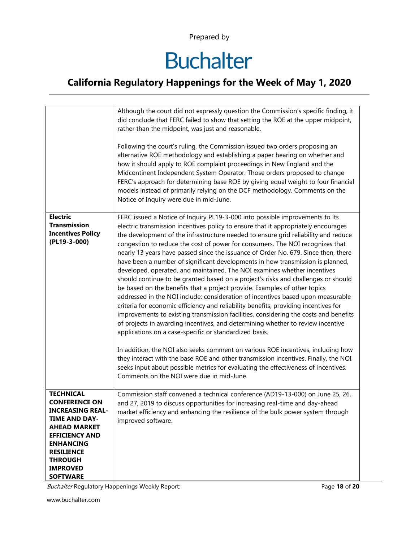# **Buchalter**

#### **California Regulatory Happenings for the Week of May 1, 2020**

|                                                                                                                                                                                                                                              | Although the court did not expressly question the Commission's specific finding, it<br>did conclude that FERC failed to show that setting the ROE at the upper midpoint,<br>rather than the midpoint, was just and reasonable.<br>Following the court's ruling, the Commission issued two orders proposing an<br>alternative ROE methodology and establishing a paper hearing on whether and<br>how it should apply to ROE complaint proceedings in New England and the<br>Midcontinent Independent System Operator. Those orders proposed to change<br>FERC's approach for determining base ROE by giving equal weight to four financial<br>models instead of primarily relying on the DCF methodology. Comments on the<br>Notice of Inquiry were due in mid-June.                                                                                                                                                                                                                                                                                                                                                                                                                                                                                                                                                                                                                                                                                                                          |
|----------------------------------------------------------------------------------------------------------------------------------------------------------------------------------------------------------------------------------------------|----------------------------------------------------------------------------------------------------------------------------------------------------------------------------------------------------------------------------------------------------------------------------------------------------------------------------------------------------------------------------------------------------------------------------------------------------------------------------------------------------------------------------------------------------------------------------------------------------------------------------------------------------------------------------------------------------------------------------------------------------------------------------------------------------------------------------------------------------------------------------------------------------------------------------------------------------------------------------------------------------------------------------------------------------------------------------------------------------------------------------------------------------------------------------------------------------------------------------------------------------------------------------------------------------------------------------------------------------------------------------------------------------------------------------------------------------------------------------------------------|
| <b>Electric</b><br><b>Transmission</b><br><b>Incentives Policy</b><br>(PL19-3-000)                                                                                                                                                           | FERC issued a Notice of Inquiry PL19-3-000 into possible improvements to its<br>electric transmission incentives policy to ensure that it appropriately encourages<br>the development of the infrastructure needed to ensure grid reliability and reduce<br>congestion to reduce the cost of power for consumers. The NOI recognizes that<br>nearly 13 years have passed since the issuance of Order No. 679. Since then, there<br>have been a number of significant developments in how transmission is planned,<br>developed, operated, and maintained. The NOI examines whether incentives<br>should continue to be granted based on a project's risks and challenges or should<br>be based on the benefits that a project provide. Examples of other topics<br>addressed in the NOI include: consideration of incentives based upon measurable<br>criteria for economic efficiency and reliability benefits, providing incentives for<br>improvements to existing transmission facilities, considering the costs and benefits<br>of projects in awarding incentives, and determining whether to review incentive<br>applications on a case-specific or standardized basis.<br>In addition, the NOI also seeks comment on various ROE incentives, including how<br>they interact with the base ROE and other transmission incentives. Finally, the NOI<br>seeks input about possible metrics for evaluating the effectiveness of incentives.<br>Comments on the NOI were due in mid-June. |
| <b>TECHNICAL</b><br><b>CONFERENCE ON</b><br><b>INCREASING REAL-</b><br><b>TIME AND DAY-</b><br><b>AHEAD MARKET</b><br><b>EFFICIENCY AND</b><br><b>ENHANCING</b><br><b>RESILIENCE</b><br><b>THROUGH</b><br><b>IMPROVED</b><br><b>SOFTWARE</b> | Commission staff convened a technical conference (AD19-13-000) on June 25, 26,<br>and 27, 2019 to discuss opportunities for increasing real-time and day-ahead<br>market efficiency and enhancing the resilience of the bulk power system through<br>improved software.                                                                                                                                                                                                                                                                                                                                                                                                                                                                                                                                                                                                                                                                                                                                                                                                                                                                                                                                                                                                                                                                                                                                                                                                                      |

Buchalter Regulatory Happenings Weekly Report: Page **18** of **20**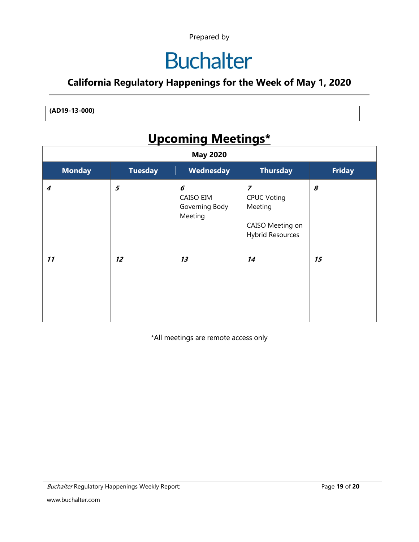## **Buchalter**

#### **California Regulatory Happenings for the Week of May 1, 2020**

**(AD19-13-000)**

## **Upcoming Meetings\***

| <b>May 2020</b>  |                |                                             |                                                                                         |               |
|------------------|----------------|---------------------------------------------|-----------------------------------------------------------------------------------------|---------------|
| <b>Monday</b>    | <b>Tuesday</b> | Wednesday                                   | <b>Thursday</b>                                                                         | <b>Friday</b> |
| $\boldsymbol{4}$ | 5              | 6<br>CAISO EIM<br>Governing Body<br>Meeting | $\overline{z}$<br><b>CPUC Voting</b><br>Meeting<br>CAISO Meeting on<br>Hybrid Resources | 8             |
| 11               | 12             | 13                                          | 14                                                                                      | 15            |

\*All meetings are remote access only

Buchalter Regulatory Happenings Weekly Report: Page **19** of **20**